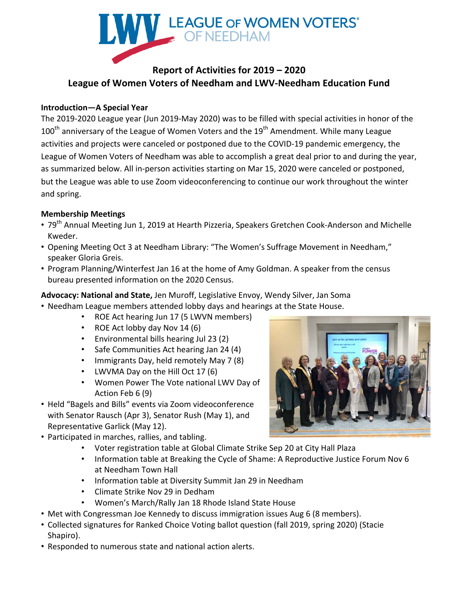# **Report of Activities for 2019 – 2020** League of Women Voters of Needham and LWV-Needham Education Fund

**WWW LEAGUE OF WOMEN VOTERS®** 

## **Introduction—A Special Year**

The 2019-2020 League year (Jun 2019-May 2020) was to be filled with special activities in honor of the 100<sup>th</sup> anniversary of the League of Women Voters and the 19<sup>th</sup> Amendment. While many League activities and projects were canceled or postponed due to the COVID-19 pandemic emergency, the League of Women Voters of Needham was able to accomplish a great deal prior to and during the year, as summarized below. All in-person activities starting on Mar 15, 2020 were canceled or postponed, but the League was able to use Zoom videoconferencing to continue our work throughout the winter and spring.

### **Membership Meetings**

- 79<sup>th</sup> Annual Meeting Jun 1, 2019 at Hearth Pizzeria, Speakers Gretchen Cook-Anderson and Michelle Kweder.
- Opening Meeting Oct 3 at Needham Library: "The Women's Suffrage Movement in Needham," speaker Gloria Greis.
- Program Planning/Winterfest Jan 16 at the home of Amy Goldman. A speaker from the census bureau presented information on the 2020 Census.

## Advocacy: National and State, Jen Muroff, Legislative Envoy, Wendy Silver, Jan Soma

- Needham League members attended lobby days and hearings at the State House.
	- ROE Act hearing Jun 17 (5 LWVN members)
	- ROE Act lobby day Nov  $14(6)$
	- Environmental bills hearing Jul 23 (2)
	- Safe Communities Act hearing Jan 24 (4)
	- Immigrants Day, held remotely May 7 (8)
	- LWVMA Day on the Hill Oct 17 (6)
	- Women Power The Vote national LWV Day of Action Feb 6 (9)
- Held "Bagels and Bills" events via Zoom videoconference with Senator Rausch (Apr 3), Senator Rush (May 1), and Representative Garlick (May 12).
- Participated in marches, rallies, and tabling.
	- Voter registration table at Global Climate Strike Sep 20 at City Hall Plaza
	- Information table at Breaking the Cycle of Shame: A Reproductive Justice Forum Nov 6 at Needham Town Hall
	- Information table at Diversity Summit Jan 29 in Needham
	- Climate Strike Nov 29 in Dedham
	- Women's March/Rally Jan 18 Rhode Island State House
- Met with Congressman Joe Kennedy to discuss immigration issues Aug 6 (8 members).
- Collected signatures for Ranked Choice Voting ballot question (fall 2019, spring 2020) (Stacie Shapiro).
- Responded to numerous state and national action alerts.

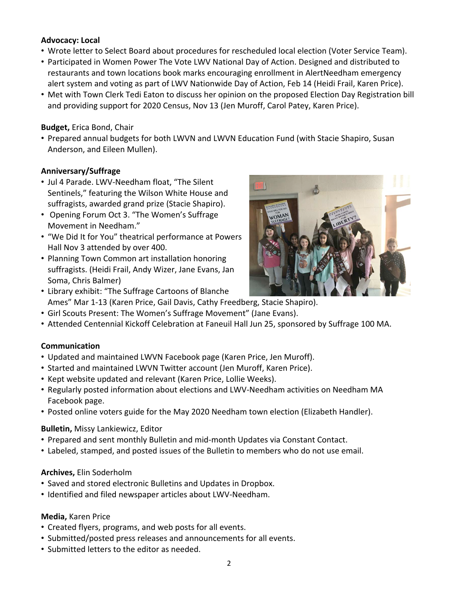## **Advocacy: Local**

- Wrote letter to Select Board about procedures for rescheduled local election (Voter Service Team).
- Participated in Women Power The Vote LWV National Day of Action. Designed and distributed to restaurants and town locations book marks encouraging enrollment in AlertNeedham emergency alert system and voting as part of LWV Nationwide Day of Action, Feb 14 (Heidi Frail, Karen Price).
- Met with Town Clerk Tedi Eaton to discuss her opinion on the proposed Election Day Registration bill and providing support for 2020 Census, Nov 13 (Jen Muroff, Carol Patey, Karen Price).

## **Budget, Erica Bond, Chair**

• Prepared annual budgets for both LWVN and LWVN Education Fund (with Stacie Shapiro, Susan Anderson, and Eileen Mullen).

## **Anniversary/Suffrage**

- Jul 4 Parade. LWV-Needham float, "The Silent Sentinels," featuring the Wilson White House and suffragists, awarded grand prize (Stacie Shapiro).
- Opening Forum Oct 3. "The Women's Suffrage Movement in Needham."
- "We Did It for You" theatrical performance at Powers Hall Nov 3 attended by over 400.
- Planning Town Common art installation honoring suffragists. (Heidi Frail, Andy Wizer, Jane Evans, Jan Soma, Chris Balmer)
- Library exhibit: "The Suffrage Cartoons of Blanche Ames" Mar 1-13 (Karen Price, Gail Davis, Cathy Freedberg, Stacie Shapiro).
- Girl Scouts Present: The Women's Suffrage Movement" (Jane Evans).
- Attended Centennial Kickoff Celebration at Faneuil Hall Jun 25, sponsored by Suffrage 100 MA.

## **Communication**

- Updated and maintained LWVN Facebook page (Karen Price, Jen Muroff).
- Started and maintained LWVN Twitter account (Jen Muroff, Karen Price).
- Kept website updated and relevant (Karen Price, Lollie Weeks).
- Regularly posted information about elections and LWV-Needham activities on Needham MA Facebook page.
- Posted online voters guide for the May 2020 Needham town election (Elizabeth Handler).

## **Bulletin, Missy Lankiewicz, Editor**

- Prepared and sent monthly Bulletin and mid-month Updates via Constant Contact.
- Labeled, stamped, and posted issues of the Bulletin to members who do not use email.

## **Archives, Elin Soderholm**

- Saved and stored electronic Bulletins and Updates in Dropbox.
- Identified and filed newspaper articles about LWV-Needham.

## **Media,** Karen Price

- Created flyers, programs, and web posts for all events.
- Submitted/posted press releases and announcements for all events.
- Submitted letters to the editor as needed.

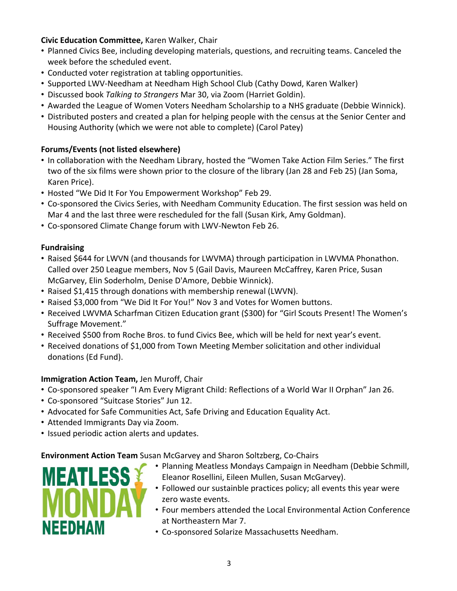## **Civic Education Committee, Karen Walker, Chair**

- Planned Civics Bee, including developing materials, questions, and recruiting teams. Canceled the week before the scheduled event.
- Conducted voter registration at tabling opportunities.
- Supported LWV-Needham at Needham High School Club (Cathy Dowd, Karen Walker)
- Discussed book *Talking to Strangers* Mar 30, via Zoom (Harriet Goldin).
- Awarded the League of Women Voters Needham Scholarship to a NHS graduate (Debbie Winnick).
- Distributed posters and created a plan for helping people with the census at the Senior Center and Housing Authority (which we were not able to complete) (Carol Patey)

## **Forums/Events (not listed elsewhere)**

- In collaboration with the Needham Library, hosted the "Women Take Action Film Series." The first two of the six films were shown prior to the closure of the library (Jan 28 and Feb 25) (Jan Soma, Karen Price).
- Hosted "We Did It For You Empowerment Workshop" Feb 29.
- Co-sponsored the Civics Series, with Needham Community Education. The first session was held on Mar 4 and the last three were rescheduled for the fall (Susan Kirk, Amy Goldman).
- Co-sponsored Climate Change forum with LWV-Newton Feb 26.

## **Fundraising**

- Raised \$644 for LWVN (and thousands for LWVMA) through participation in LWVMA Phonathon. Called over 250 League members, Nov 5 (Gail Davis, Maureen McCaffrey, Karen Price, Susan McGarvey, Elin Soderholm, Denise D'Amore, Debbie Winnick).
- Raised \$1,415 through donations with membership renewal (LWVN).
- Raised \$3,000 from "We Did It For You!" Nov 3 and Votes for Women buttons.
- Received LWVMA Scharfman Citizen Education grant (\$300) for "Girl Scouts Present! The Women's Suffrage Movement."
- Received \$500 from Roche Bros. to fund Civics Bee, which will be held for next year's event.
- Received donations of \$1,000 from Town Meeting Member solicitation and other individual donations (Ed Fund).

## **Immigration Action Team, Jen Muroff, Chair**

- Co-sponsored speaker "I Am Every Migrant Child: Reflections of a World War II Orphan" Jan 26.
- Co-sponsored "Suitcase Stories" Jun 12.
- Advocated for Safe Communities Act, Safe Driving and Education Equality Act.
- Attended Immigrants Day via Zoom.
- Issued periodic action alerts and updates.

## **Environment Action Team** Susan McGarvey and Sharon Soltzberg, Co-Chairs

- **MEATLESS NEEDHAM**
- Planning Meatless Mondays Campaign in Needham (Debbie Schmill, Eleanor Rosellini, Eileen Mullen, Susan McGarvey).
- Followed our sustainble practices policy; all events this year were zero waste events.
- Four members attended the Local Environmental Action Conference at Northeastern Mar 7.
- Co-sponsored Solarize Massachusetts Needham.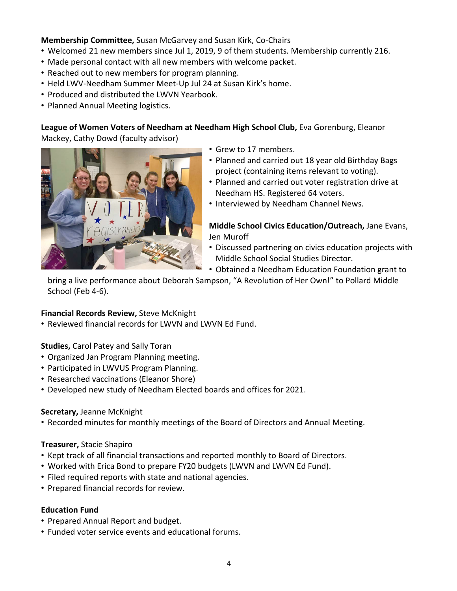**Membership Committee, Susan McGarvey and Susan Kirk, Co-Chairs** 

- Welcomed 21 new members since Jul 1, 2019, 9 of them students. Membership currently 216.
- Made personal contact with all new members with welcome packet.
- Reached out to new members for program planning.
- Held LWV-Needham Summer Meet-Up Jul 24 at Susan Kirk's home.
- Produced and distributed the LWVN Yearbook.
- Planned Annual Meeting logistics.

**League of Women Voters of Needham at Needham High School Club, Eva Gorenburg, Eleanor** Mackey, Cathy Dowd (faculty advisor)



- Grew to 17 members.
- Planned and carried out 18 year old Birthday Bags project (containing items relevant to voting).
- Planned and carried out voter registration drive at Needham HS. Registered 64 voters.
- Interviewed by Needham Channel News.

**Middle School Civics Education/Outreach, Jane Evans,** Jen Muroff

- Discussed partnering on civics education projects with Middle School Social Studies Director.
- Obtained a Needham Education Foundation grant to

bring a live performance about Deborah Sampson, "A Revolution of Her Own!" to Pollard Middle School (Feb 4-6).

#### **Financial Records Review, Steve McKnight**

• Reviewed financial records for LWVN and LWVN Ed Fund.

#### **Studies, Carol Patey and Sally Toran**

- Organized Jan Program Planning meeting.
- Participated in LWVUS Program Planning.
- Researched vaccinations (Eleanor Shore)
- Developed new study of Needham Elected boards and offices for 2021.

#### **Secretary, Jeanne McKnight**

• Recorded minutes for monthly meetings of the Board of Directors and Annual Meeting.

#### **Treasurer, Stacie Shapiro**

- Kept track of all financial transactions and reported monthly to Board of Directors.
- Worked with Erica Bond to prepare FY20 budgets (LWVN and LWVN Ed Fund).
- Filed required reports with state and national agencies.
- Prepared financial records for review.

#### **Education Fund**

- Prepared Annual Report and budget.
- Funded voter service events and educational forums.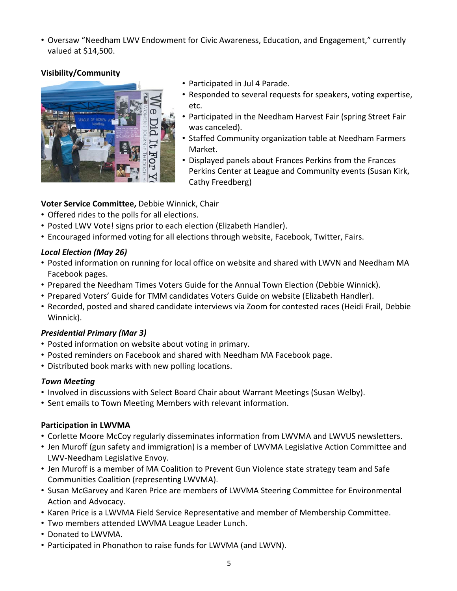• Oversaw "Needham LWV Endowment for Civic Awareness, Education, and Engagement," currently valued at \$14,500.

## **Visibility/Community**



- Participated in Jul 4 Parade.
- Responded to several requests for speakers, voting expertise, etc.
- Participated in the Needham Harvest Fair (spring Street Fair was canceled).
- Staffed Community organization table at Needham Farmers Market.
- Displayed panels about Frances Perkins from the Frances Perkins Center at League and Community events (Susan Kirk, Cathy Freedberg)

## **Voter Service Committee, Debbie Winnick, Chair**

- Offered rides to the polls for all elections.
- Posted LWV Vote! signs prior to each election (Elizabeth Handler).
- Encouraged informed voting for all elections through website, Facebook, Twitter, Fairs.

## *Local Election (May 26)*

- Posted information on running for local office on website and shared with LWVN and Needham MA Facebook pages.
- Prepared the Needham Times Voters Guide for the Annual Town Election (Debbie Winnick).
- Prepared Voters' Guide for TMM candidates Voters Guide on website (Elizabeth Handler).
- Recorded, posted and shared candidate interviews via Zoom for contested races (Heidi Frail, Debbie Winnick).

## *Presidential Primary (Mar 3)*

- Posted information on website about voting in primary.
- Posted reminders on Facebook and shared with Needham MA Facebook page.
- Distributed book marks with new polling locations.

## *Town Meeting*

- Involved in discussions with Select Board Chair about Warrant Meetings (Susan Welby).
- Sent emails to Town Meeting Members with relevant information.

## **Participation in LWVMA**

- Corlette Moore McCoy regularly disseminates information from LWVMA and LWVUS newsletters.
- Jen Muroff (gun safety and immigration) is a member of LWVMA Legislative Action Committee and LWV-Needham Legislative Envoy.
- Jen Muroff is a member of MA Coalition to Prevent Gun Violence state strategy team and Safe Communities Coalition (representing LWVMA).
- Susan McGarvey and Karen Price are members of LWVMA Steering Committee for Environmental Action and Advocacy.
- Karen Price is a LWVMA Field Service Representative and member of Membership Committee.
- Two members attended LWVMA League Leader Lunch.
- Donated to LWVMA.
- Participated in Phonathon to raise funds for LWVMA (and LWVN).